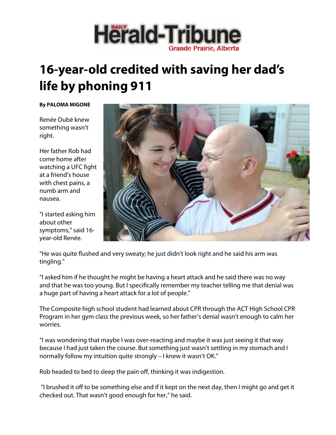

## **16-year-old credited with saving her dad's life by phoning 911**

## **By PALOMA MIGONE**

Renée Dubé knew something wasn't right.

Her father Rob had come home after watching a UFC fight at a friend's house with chest pains, a numb arm and nausea.

"I started asking him about other symptoms," said 16 year-old Renée.



"He was quite flushed and very sweaty; he just didn't look right and he said his arm was tingling."

"I asked him if he thought he might be having a heart attack and he said there was no way and that he was too young. But I specifically remember my teacher telling me that denial was a huge part of having a heart attack for a lot of people."

The Composite high school student had learned about CPR through the ACT High School CPR Program in her gym class the previous week, so her father's denial wasn't enough to calm her worries.

"I was wondering that maybe I was over-reacting and maybe it was just seeing it that way because I had just taken the course. But something just wasn't settling in my stomach and I normally follow my intuition quite strongly – I knew it wasn't OK."

Rob headed to bed to sleep the pain off, thinking it was indigestion.

 "I brushed it off to be something else and if it kept on the next day, then I might go and get it checked out. That wasn't good enough for her," he said.